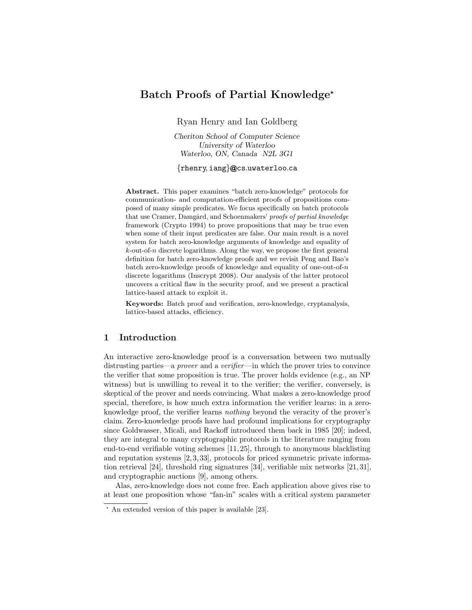# Batch Proofs of Partial Knowledge?

Ryan Henry and Ian Goldberg

Cheriton School of Computer Science University of Waterloo Waterloo, ON, Canada N2L 3G1

{[rhenry](mailto:rhenry@cs.uwaterloo.ca), [iang](mailto:iang@cs.uwaterloo.ca)}@cs.[uwaterloo](mailto:rhenry@cs.uwaterloo.ca;iang@cs.uwaterloo.ca).ca

Abstract. This paper examines "batch zero-knowledge" protocols for communication- and computation-efficient proofs of propositions composed of many simple predicates. We focus specifically on batch protocols that use Cramer, Damgård, and Schoenmakers' proofs of partial knowledge framework (Crypto 1994) to prove propositions that may be true even when some of their input predicates are false. Our main result is a novel system for batch zero-knowledge arguments of knowledge and equality of  $k$ -out-of-n discrete logarithms. Along the way, we propose the first general definition for batch zero-knowledge proofs and we revisit Peng and Bao's batch zero-knowledge proofs of knowledge and equality of one-out-of- $n$ discrete logarithms (Inscrypt 2008). Our analysis of the latter protocol uncovers a critical flaw in the security proof, and we present a practical lattice-based attack to exploit it.

Keywords: Batch proof and verification, zero-knowledge, cryptanalysis, lattice-based attacks, efficiency.

### 1 Introduction

An interactive zero-knowledge proof is a conversation between two mutually distrusting parties—a prover and a verifier—in which the prover tries to convince the verifier that some proposition is true. The prover holds evidence (e.g., an NP witness) but is unwilling to reveal it to the verifier; the verifier, conversely, is skeptical of the prover and needs convincing. What makes a zero-knowledge proof special, therefore, is how much extra information the verifier learns: in a zeroknowledge proof, the verifier learns nothing beyond the veracity of the prover's claim. Zero-knowledge proofs have had profound implications for cryptography since Goldwasser, Micali, and Rackoff introduced them back in 1985 [\[20\]](#page-14-0); indeed, they are integral to many cryptographic protocols in the literature ranging from end-to-end verifiable voting schemes [\[11,](#page-14-1) [25\]](#page-15-0), through to anonymous blacklisting and reputation systems [\[2,](#page-13-0) [3,](#page-14-2) [33\]](#page-15-1), protocols for priced symmetric private information retrieval [\[24\]](#page-15-2), threshold ring signatures [\[34\]](#page-15-3), verifiable mix networks [\[21,](#page-15-4) [31\]](#page-15-5), and cryptographic auctions [\[9\]](#page-14-3), among others.

Alas, zero-knowledge does not come free. Each application above gives rise to at least one proposition whose "fan-in" scales with a critical system parameter

<sup>?</sup> An extended version of this paper is available [\[23\]](#page-15-6).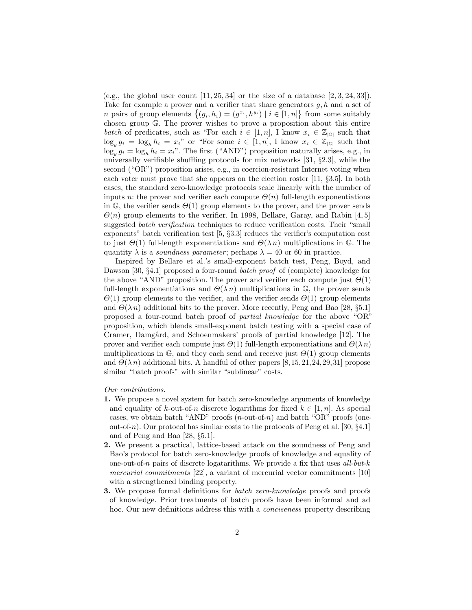(e.g., the global user count  $[11, 25, 34]$  $[11, 25, 34]$  $[11, 25, 34]$  $[11, 25, 34]$  $[11, 25, 34]$  or the size of a database  $[2, 3, 24, 33]$  $[2, 3, 24, 33]$  $[2, 3, 24, 33]$  $[2, 3, 24, 33]$  $[2, 3, 24, 33]$  $[2, 3, 24, 33]$  $[2, 3, 24, 33]$ ). Take for example a prover and a verifier that share generators  $g, h$  and a set of *n* pairs of group elements  $\{(g_i, h_i) = (g^{x_i}, h^{y_i}) \mid i \in [1, n]\}$  from some suitably chosen group G. The prover wishes to prove a proposition about this entire batch of predicates, such as "For each  $i \in [1, n]$ , I know  $x_i \in \mathbb{Z}_{|\mathbb{G}|}$  such that  $\log_g g_i = \log_h h_i = x_i$ " or "For some  $i \in [1, n]$ , I know  $x_i \in \mathbb{Z}_{|\mathbb{G}|}$  such that  $\log_g g_i = \log_h h_i = x_i$ ". The first ("AND") proposition naturally arises, e.g., in universally verifiable shuffling protocols for mix networks [\[31,](#page-15-5) §2.3], while the second ("OR") proposition arises, e.g., in coercion-resistant Internet voting when each voter must prove that she appears on the election roster  $[11, \S3.5]$  $[11, \S3.5]$ . In both cases, the standard zero-knowledge protocols scale linearly with the number of inputs n: the prover and verifier each compute  $\Theta(n)$  full-length exponentiations in G, the verifier sends  $\Theta(1)$  group elements to the prover, and the prover sends  $\Theta(n)$  group elements to the verifier. In 1998, Bellare, Garay, and Rabin [\[4,](#page-14-4) [5\]](#page-14-5) suggested batch verification techniques to reduce verification costs. Their "small exponents" batch verification test [\[5,](#page-14-5) §3.3] reduces the verifier's computation cost to just  $\Theta(1)$  full-length exponentiations and  $\Theta(\lambda n)$  multiplications in G. The quantity  $\lambda$  is a *soundness parameter*; perhaps  $\lambda = 40$  or 60 in practice.

Inspired by Bellare et al.'s small-exponent batch test, Peng, Boyd, and Dawson [\[30,](#page-15-7) §4.1] proposed a four-round *batch proof* of (complete) knowledge for the above "AND" proposition. The prover and verifier each compute just  $\Theta(1)$ full-length exponentiations and  $\Theta(\lambda n)$  multiplications in G, the prover sends  $\Theta(1)$  group elements to the verifier, and the verifier sends  $\Theta(1)$  group elements and  $\Theta(\lambda n)$  additional bits to the prover. More recently, Peng and Bao [\[28,](#page-15-8) §5.1] proposed a four-round batch proof of partial knowledge for the above "OR" proposition, which blends small-exponent batch testing with a special case of Cramer, Damgård, and Schoenmakers' proofs of partial knowledge [\[12\]](#page-14-6). The prover and verifier each compute just  $\Theta(1)$  full-length exponentiations and  $\Theta(\lambda n)$ multiplications in  $\mathbb{G}$ , and they each send and receive just  $\Theta(1)$  group elements and  $\Theta(\lambda n)$  additional bits. A handful of other papers [\[8,](#page-14-7)[15,](#page-14-8)[21,](#page-15-4)[24,](#page-15-2)[29,](#page-15-9)[31\]](#page-15-5) propose similar "batch proofs" with similar "sublinear" costs.

#### Our contributions.

- 1. We propose a novel system for batch zero-knowledge arguments of knowledge and equality of k-out-of-n discrete logarithms for fixed  $k \in [1, n]$ . As special cases, we obtain batch "AND" proofs  $(n\text{-out-of-}n)$  and batch "OR" proofs (one-out-of-n). Our protocol has similar costs to the protocols of Peng et al. [\[30,](#page-15-7)  $\S 4.1$ ] and of Peng and Bao [\[28,](#page-15-8) §5.1].
- 2. We present a practical, lattice-based attack on the soundness of Peng and Bao's protocol for batch zero-knowledge proofs of knowledge and equality of one-out-of-n pairs of discrete logatarithms. We provide a fix that uses  $all$ -but-k mercurial commitments [\[22\]](#page-15-10), a variant of mercurial vector commitments [\[10\]](#page-14-9) with a strengthened binding property.
- **3.** We propose formal definitions for *batch zero-knowledge* proofs and proofs of knowledge. Prior treatments of batch proofs have been informal and ad hoc. Our new definitions address this with a conciseness property describing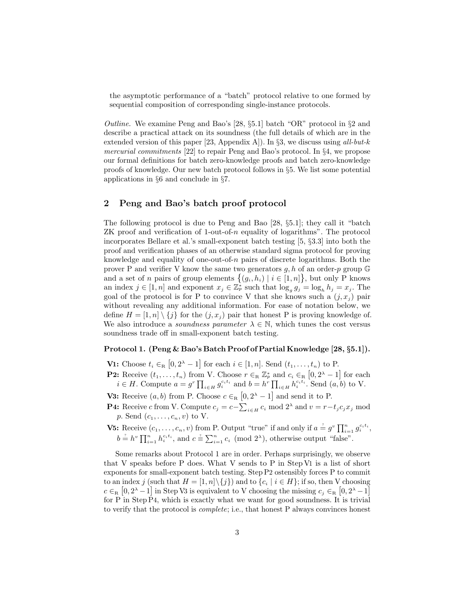the asymptotic performance of a "batch" protocol relative to one formed by sequential composition of corresponding single-instance protocols.

Outline. We examine Peng and Bao's [\[28,](#page-15-8)  $\S 5.1$ ] batch "OR" protocol in  $\S 2$  $\S 2$  and describe a practical attack on its soundness (the full details of which are in the extended version of this paper [\[23,](#page-15-6) Appendix A]). In §[3,](#page-4-0) we discuss using all-but-k mercurial commitments [\[22\]](#page-15-10) to repair Peng and Bao's protocol. In §[4,](#page-5-0) we propose our formal definitions for batch zero-knowledge proofs and batch zero-knowledge proofs of knowledge. Our new batch protocol follows in §[5.](#page-9-0) We list some potential applications in §[6](#page-12-0) and conclude in §[7.](#page-13-1)

## <span id="page-2-0"></span>2 Peng and Bao's batch proof protocol

The following protocol is due to Peng and Bao [\[28,](#page-15-8) §5.1]; they call it "batch ZK proof and verification of 1-out-of-n equality of logarithms". The protocol incorporates Bellare et al.'s small-exponent batch testing [\[5,](#page-14-5) §3.3] into both the proof and verification phases of an otherwise standard sigma protocol for proving knowledge and equality of one-out-of-n pairs of discrete logarithms. Both the prover P and verifier V know the same two generators  $g, h$  of an order-p group  $\mathbb{G}$ and a set of *n* pairs of group elements  $\{(g_i, h_i) | i \in [1, n]\}$ , but only P knows an index  $j \in [1, n]$  and exponent  $x_j \in \mathbb{Z}_p^*$  such that  $\log_g g_j = \log_h h_j = x_j$ . The goal of the protocol is for P to convince V that she knows such a  $(j, x<sub>i</sub>)$  pair without revealing any additional information. For ease of notation below, we define  $H = [1, n] \setminus \{j\}$  for the  $(j, x<sub>j</sub>)$  pair that honest P is proving knowledge of. We also introduce a *soundness parameter*  $\lambda \in \mathbb{N}$ , which tunes the cost versus soundness trade off in small-exponent batch testing.

#### <span id="page-2-1"></span>Protocol 1. (Peng & Bao's Batch Proof of Partial Knowledge [\[28,](#page-15-8) §5.1]).

- **V1:** Choose  $t_i \in_R [0, 2^{\lambda} 1]$  for each  $i \in [1, n]$ . Send  $(t_1, \ldots, t_n)$  to P.
- **P2:** Receive  $(t_1, \ldots, t_n)$  from V. Choose  $r \in_R \mathbb{Z}_p^*$  and  $c_i \in_R [0, 2^{\lambda} 1]$  for each  $i \in H$ . Compute  $a = g^r \prod_{i \in H} g_i^{c_i t_i}$  and  $b = h^r \prod_{i \in H} h_i^{c_i t_i}$ . Send  $(a, b)$  to V.
- **V3:** Receive  $(a, b)$  from P. Choose  $c \in_R [0, 2^{\lambda} 1]$  and send it to P.
- **P4:** Receive c from V. Compute  $c_j = c \sum_{i \in H} c_i \mod 2^\lambda$  and  $v = r t_j c_j x_j \mod 2^\lambda$ p. Send  $(c_1, \ldots, c_n, v)$  to V.
- **V5:** Receive  $(c_1, \ldots, c_n, v)$  from P. Output "true" if and only if  $a \stackrel{\text{?}}{=} g^v \prod_{i=1}^n g_i^{c_i t_i}$ ,  $b \stackrel{\text{'}}{=} h^v \prod_{i=1}^n h_i^{c_i t_i}$ , and  $c \stackrel{\text{'}}{=} \sum_{i=1}^n c_i \pmod{2^{\lambda}}$ , otherwise output "false".

Some remarks about Protocol [1](#page-2-1) are in order. Perhaps surprisingly, we observe that V speaks before P does. What V sends to P in Step V1 is a list of short exponents for small-exponent batch testing. Step P2 ostensibly forces P to commit to an index j (such that  $H = [1, n] \setminus \{j\}$ ) and to  $\{c_i \mid i \in H\}$ ; if so, then V choosing  $c \in_R [0, 2^{\lambda} - 1]$  in Step V3 is equivalent to V choosing the missing  $c_j \in_R [0, 2^{\lambda} - 1]$ for P in Step P4, which is exactly what we want for good soundness. It is trivial to verify that the protocol is complete; i.e., that honest P always convinces honest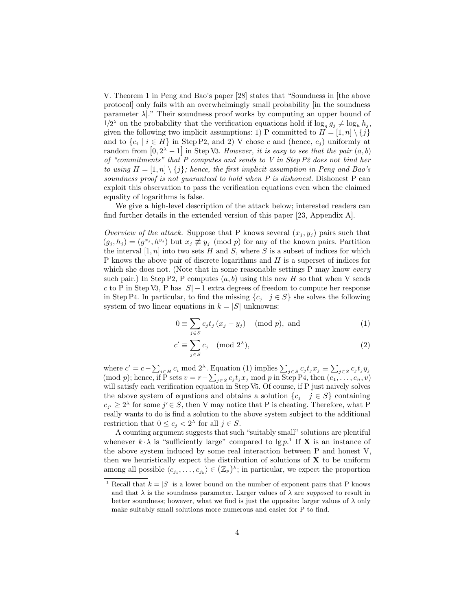V. Theorem 1 in Peng and Bao's paper [\[28\]](#page-15-8) states that "Soundness in [the above protocol] only fails with an overwhelmingly small probability [in the soundness parameter  $\lambda$ ]." Their soundness proof works by computing an upper bound of  $1/2^{\lambda}$  on the probability that the verification equations hold if  $\log_g g_j \neq \log_h h_j$ , given the following two implicit assumptions: 1) P committed to  $H = [1, n] \setminus \{j\}$ and to  $\{c_i \mid i \in H\}$  in Step P2, and 2) V chose c and (hence,  $c_j$ ) uniformly at random from  $[0, 2<sup>\lambda</sup> - 1]$  in Step V3. However, it is easy to see that the pair  $(a, b)$ of "commitments" that P computes and sends to V in Step P2 does not bind her to using  $H = [1, n] \setminus \{j\}$ ; hence, the first implicit assumption in Peng and Bao's soundness proof is not guaranteed to hold when P is dishonest. Dishonest P can exploit this observation to pass the verification equations even when the claimed equality of logarithms is false.

We give a high-level description of the attack below; interested readers can find further details in the extended version of this paper [\[23,](#page-15-6) Appendix A].

Overview of the attack. Suppose that P knows several  $(x_j, y_j)$  pairs such that  $(g_j, h_j) = (g^{x_j}, h^{y_j})$  but  $x_j \not\equiv y_j \pmod{p}$  for any of the known pairs. Partition the interval  $[1, n]$  into two sets H and S, where S is a subset of indices for which P knows the above pair of discrete logarithms and H is a superset of indices for which she does not. (Note that in some reasonable settings P may know every such pair.) In Step P2, P computes  $(a, b)$  using this new H so that when V sends c to P in Step V3, P has  $|S| - 1$  extra degrees of freedom to compute her response in Step P4. In particular, to find the missing  $\{c_j | j \in S\}$  she solves the following system of two linear equations in  $k = |S|$  unknowns:

<span id="page-3-0"></span>
$$
0 \equiv \sum_{j \in S} c_j t_j (x_j - y_j) \pmod{p}, \text{ and } (1)
$$

<span id="page-3-2"></span>
$$
c' \equiv \sum_{j \in S} c_j \pmod{2^{\lambda}},\tag{2}
$$

where  $c' = c - \sum_{i \in H} c_i \mod 2^{\lambda}$ . Equation [\(1\)](#page-3-0) implies  $\sum_{j \in S} c_j t_j x_j \equiv \sum_{j \in S} c_j t_j y_j$ (mod p); hence, if P sets  $v = r - \sum_{j \in S} c_j t_j x_j \mod p$  in Step P4, then  $(c_1, \ldots, c_n, v)$ will satisfy each verification equation in Step V5. Of course, if P just naively solves the above system of equations and obtains a solution  ${c_i | j \in S}$  containing  $c_{j'} \geq 2^{\lambda}$  for some  $j' \in S$ , then V may notice that P is cheating. Therefore, what P really wants to do is find a solution to the above system subject to the additional restriction that  $0 \leq c_j < 2^{\lambda}$  for all  $j \in S$ .

A counting argument suggests that such "suitably small" solutions are plentiful whenever  $k \cdot \lambda$  is "sufficiently large" compared to  $\lg p$ <sup>[1](#page-3-1)</sup> If **X** is an instance of the above system induced by some real interaction between P and honest V, then we heuristically expect the distribution of solutions of  $X$  to be uniform among all possible  $\langle c_{j_1}, \ldots, c_{j_k} \rangle \in (\mathbb{Z}_p)^k$ ; in particular, we expect the proportion

<span id="page-3-1"></span><sup>&</sup>lt;sup>1</sup> Recall that  $k = |S|$  is a lower bound on the number of exponent pairs that P knows and that  $\lambda$  is the soundness parameter. Larger values of  $\lambda$  are *supposed* to result in better soundness; however, what we find is just the opposite: larger values of  $\lambda$  only make suitably small solutions more numerous and easier for P to find.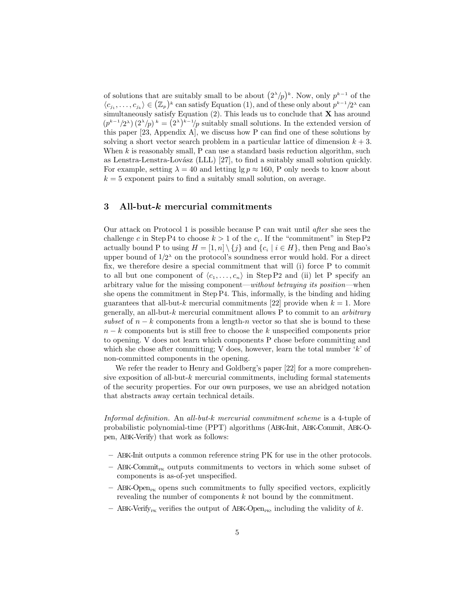of solutions that are suitably small to be about  $(2^{\lambda}/p)^{k}$ . Now, only  $p^{k-1}$  of the  $\langle c_{j_1},\ldots,c_{j_k}\rangle\in (\mathbb{Z}_p)^k$  can satisfy Equation [\(1\)](#page-3-0), and of these only about  $p^{k-1}/2^\lambda$  can simultaneously satisfy Equation  $(2)$ . This leads us to conclude that **X** has around  $(p^{k-1}/2^{\lambda})(2^{\lambda}/p)^k = (2^{\lambda})^{k-1}/p$  suitably small solutions. In the extended version of this paper [\[23,](#page-15-6) Appendix A], we discuss how P can find one of these solutions by solving a short vector search problem in a particular lattice of dimension  $k + 3$ . When  $k$  is reasonably small, P can use a standard basis reduction algorithm, such as Lenstra-Lenstra-Lovász (LLL)  $[27]$ , to find a suitably small solution quickly. For example, setting  $\lambda = 40$  and letting  $\lg p \approx 160$ , P only needs to know about  $k = 5$  exponent pairs to find a suitably small solution, on average.

### <span id="page-4-0"></span>3 All-but- $k$  mercurial commitments

Our attack on Protocol [1](#page-2-1) is possible because P can wait until after she sees the challenge c in Step P4 to choose  $k > 1$  of the  $c_i$ . If the "commitment" in Step P2 actually bound P to using  $H = [1, n] \setminus \{j\}$  and  $\{c_i \mid i \in H\}$ , then Peng and Bao's upper bound of  $1/2^{\lambda}$  on the protocol's soundness error would hold. For a direct fix, we therefore desire a special commitment that will (i) force P to commit to all but one component of  $\langle c_1, \ldots, c_n \rangle$  in Step P2 and (ii) let P specify an arbitrary value for the missing component—without betraying its position—when she opens the commitment in Step P4. This, informally, is the binding and hiding guarantees that all-but-k mercurial commitments [\[22\]](#page-15-10) provide when  $k = 1$ . More generally, an all-but- $k$  mercurial commitment allows P to commit to an *arbitrary* subset of  $n - k$  components from a length-n vector so that she is bound to these  $n - k$  components but is still free to choose the k unspecified components prior to opening. V does not learn which components P chose before committing and which she chose after committing; V does, however, learn the total number  $k$  of non-committed components in the opening.

We refer the reader to Henry and Goldberg's paper [\[22\]](#page-15-10) for a more comprehensive exposition of all-but-k mercurial commitments, including formal statements of the security properties. For our own purposes, we use an abridged notation that abstracts away certain technical details.

Informal definition. An all-but-k mercurial commitment scheme is a 4-tuple of probabilistic polynomial-time (PPT) algorithms (ABK-Init, ABK-Commit, ABK-Open, ABK-Verify) that work as follows:

- ABK-Init outputs a common reference string PK for use in the other protocols.
- $-$  ABK-Commit<sub>PK</sub> outputs commitments to vectors in which some subset of components is as-of-yet unspecified.
- $-$  ABK-Open<sub>PK</sub> opens such commitments to fully specified vectors, explicitly revealing the number of components k not bound by the commitment.
- ABK-Verify<sub>PK</sub> verifies the output of ABK-Open<sub>PK</sub>, including the validity of  $k$ .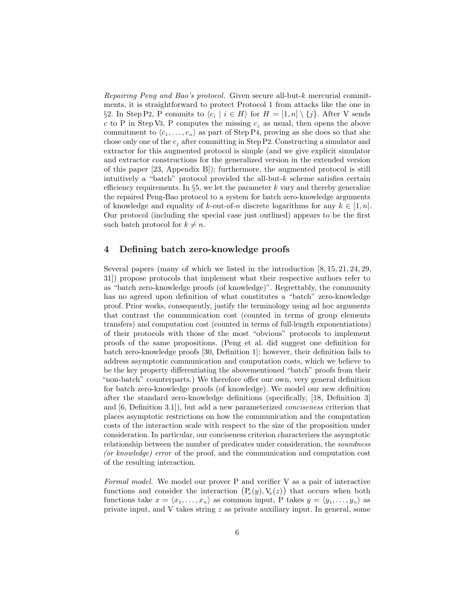Repairing Peng and Bao's protocol. Given secure all-but- $k$  mercurial commitments, it is straightforward to protect Protocol [1](#page-2-1) from attacks like the one in §[2.](#page-2-0) In Step P2, P commits to  $\langle c_i | i \in H \rangle$  for  $H = [1, n] \setminus \{j\}$ . After V sends c to P in Step V3, P computes the missing  $c_i$  as usual, then opens the above commitment to  $\langle c_1, \ldots, c_n \rangle$  as part of Step P4, proving as she does so that she chose only one of the  $c_i$  after committing in Step P2. Constructing a simulator and extractor for this augmented protocol is simple (and we give explicit simulator and extractor constructions for the generalized version in the extended version of this paper [\[23,](#page-15-6) Appendix B]); furthermore, the augmented protocol is still intuitively a "batch" protocol provided the all-but-k scheme satisfies certain efficiency requirements. In  $\S5$ , we let the parameter k vary and thereby generalize the repaired Peng-Bao protocol to a system for batch zero-knowledge arguments of knowledge and equality of k-out-of-n discrete logarithms for any  $k \in [1, n]$ . Our protocol (including the special case just outlined) appears to be the first such batch protocol for  $k \neq n$ .

### <span id="page-5-0"></span>4 Defining batch zero-knowledge proofs

Several papers (many of which we listed in the introduction [\[8,](#page-14-7) [15,](#page-14-8) [21,](#page-15-4) [24,](#page-15-2) [29,](#page-15-9) [31\]](#page-15-5)) propose protocols that implement what their respective authors refer to as "batch zero-knowledge proofs (of knowledge)". Regrettably, the community has no agreed upon definition of what constitutes a "batch" zero-knowledge proof. Prior works, consequently, justify the terminology using ad hoc arguments that contrast the communication cost (counted in terms of group elements transfers) and computation cost (counted in terms of full-length exponentiations) of their protocols with those of the most "obvious" protocols to implement proofs of the same propositions. (Peng et al. did suggest one definition for batch zero-knowledge proofs [\[30,](#page-15-7) Definition 1]; however, their definition fails to address asymptotic communication and computation costs, which we believe to be the key property differentiating the abovementioned "batch" proofs from their "non-batch" counterparts.) We therefore offer our own, very general definition for batch zero-knowledge proofs (of knowledge). We model our new definition after the standard zero-knowledge definitions (specifically, [\[18,](#page-14-10) Definition 3] and [\[6,](#page-14-11) Definition 3.1]), but add a new parameterized conciseness criterion that places asymptotic restrictions on how the communication and the computation costs of the interaction scale with respect to the size of the proposition under consideration. In particular, our conciseness criterion characterizes the asymptotic relationship between the number of predicates under consideration, the soundness (or knowledge) error of the proof, and the communication and computation cost of the resulting interaction.

Formal model. We model our prover P and verifier V as a pair of interactive functions and consider the interaction  $(P_x(y), V_x(z))$  that occurs when both functions take  $x = \langle x_1, \ldots, x_n \rangle$  as common input, P takes  $y = \langle y_1, \ldots, y_n \rangle$  as private input, and V takes string z as private auxiliary input. In general, some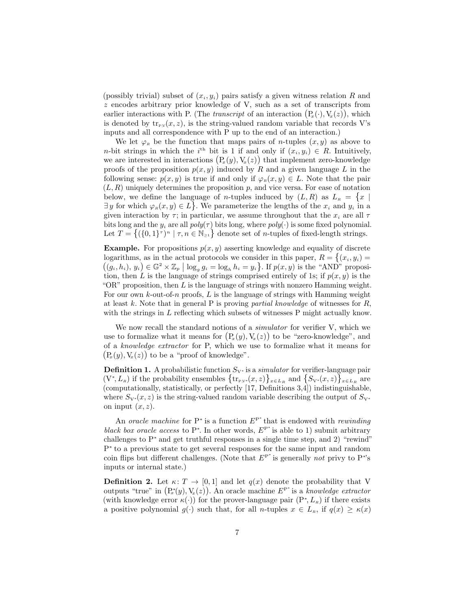(possibly trivial) subset of  $(x_i, y_i)$  pairs satisfy a given witness relation R and z encodes arbitrary prior knowledge of V, such as a set of transcripts from earlier interactions with P. (The *transcript* of an interaction  $(P_x(\cdot), V_x(z))$ , which is denoted by  $tr_{P,V}(x, z)$ , is the string-valued random variable that records V's inputs and all correspondence with P up to the end of an interaction.)

We let  $\varphi_R$  be the function that maps pairs of *n*-tuples  $(x, y)$  as above to *n*-bit strings in which the i<sup>th</sup> bit is 1 if and only if  $(x_i, y_i) \in R$ . Intuitively, we are interested in interactions  $(P_x(y), V_x(z))$  that implement zero-knowledge proofs of the proposition  $p(x, y)$  induced by R and a given language L in the following sense:  $p(x, y)$  is true if and only if  $\varphi_n(x, y) \in L$ . Note that the pair  $(L, R)$  uniquely determines the proposition p, and vice versa. For ease of notation below, we define the language of *n*-tuples induced by  $(L, R)$  as  $L_R = \{x \mid$  $\exists y$  for which  $\varphi_n(x, y) \in L$ . We parameterize the lengths of the  $x_i$  and  $y_i$  in a given interaction by  $\tau$ ; in particular, we assume throughout that the  $x_i$  are all  $\tau$ bits long and the  $y_i$  are all  $poly(\tau)$  bits long, where  $poly(\cdot)$  is some fixed polynomial. Let  $T = \{ (\{0,1\}^{\tau})^n \mid \tau, n \in \mathbb{N}_{\geq 1} \}$  denote set of *n*-tuples of fixed-length strings.

**Example.** For propositions  $p(x, y)$  asserting knowledge and equality of discrete logarithms, as in the actual protocols we consider in this paper,  $R = \{(x_i, y_i) =$  $((g_i, h_i), y_i) \in \mathbb{G}^2 \times \mathbb{Z}_p \mid \log_g g_i = \log_h h_i = y_i$ . If  $p(x, y)$  is the "AND" proposition, then L is the language of strings comprised entirely of 1s; if  $p(x, y)$  is the " $OR$ " proposition, then L is the language of strings with nonzero Hamming weight. For our own  $k$ -out-of-n proofs, L is the language of strings with Hamming weight at least k. Note that in general  $P$  is proving partial knowledge of witnesses for  $R$ , with the strings in  $L$  reflecting which subsets of witnesses P might actually know.

We now recall the standard notions of a *simulator* for verifier V, which we use to formalize what it means for  $(P_x(y), V_x(z))$  to be "zero-knowledge", and of a knowledge extractor for P, which we use to formalize what it means for  $(P_x(y), V_x(z))$  to be a "proof of knowledge".

**Definition 1.** A probabilistic function  $S_{V^*}$  is a *simulator* for verifier-language pair  $(V^*, L_R)$  if the probability ensembles  $\{\text{tr}_{P,V^*}(x, z)\}_{x \in L_R}$  and  $\{S_{V^*}(x, z)\}_{x \in L_R}$  are (computationally, statistically, or perfectly [\[17,](#page-14-12) Definitions 3,4]) indistinguishable, where  $S_{V^*}(x, z)$  is the string-valued random variable describing the output of  $S_{V^*}$ on input  $(x, z)$ .

An oracle machine for  $P^*$  is a function  $E^{P^*}$  that is endowed with rewinding black box oracle access to P<sup>\*</sup>. In other words,  $E^{P^*}$  is able to 1) submit arbitrary challenges to  $P^*$  and get truthful responses in a single time step, and 2) "rewind" P ∗ to a previous state to get several responses for the same input and random coin flips but different challenges. (Note that  $E^{P^*}$  is generally not privy to  $P^*$ 's inputs or internal state.)

**Definition 2.** Let  $\kappa: T \to [0, 1]$  and let  $q(x)$  denote the probability that V outputs "true" in  $(P_x^*(y), V_x(z))$ . An oracle machine  $E^{P^*}$  is a knowledge extractor (with knowledge error  $\kappa(\cdot)$ ) for the prover-language pair  $(P^*, L_R)$  if there exists a positive polynomial  $g(\cdot)$  such that, for all *n*-tuples  $x \in L_{\mathbb{R}}$ , if  $g(x) \geq \kappa(x)$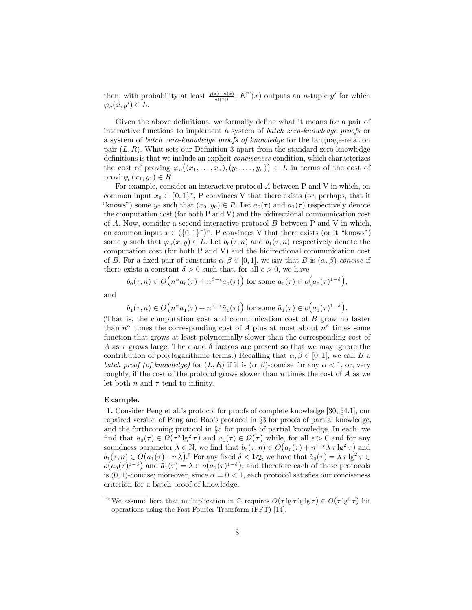then, with probability at least  $\frac{q(x)-\kappa(x)}{q(|x|)}$ ,  $E^{P^*}(x)$  outputs an *n*-tuple y' for which  $\varphi_{R}(x, y') \in L.$ 

Given the above definitions, we formally define what it means for a pair of interactive functions to implement a system of batch zero-knowledge proofs or a system of batch zero-knowledge proofs of knowledge for the language-relation pair  $(L, R)$ . What sets our Definition [3](#page-8-0) apart from the standard zero-knowledge definitions is that we include an explicit conciseness condition, which characterizes the cost of proving  $\varphi_R((x_1,\ldots,x_n),(y_1,\ldots,y_n)) \in L$  in terms of the cost of proving  $(x_1, y_1) \in R$ .

For example, consider an interactive protocol A between P and V in which, on common input  $x_0 \in \{0,1\}^{\tau}$ , P convinces V that there exists (or, perhaps, that it "knows") some  $y_0$  such that  $(x_0, y_0) \in R$ . Let  $a_0(\tau)$  and  $a_1(\tau)$  respectively denote the computation cost (for both P and V) and the bidirectional communication cost of A. Now, consider a second interactive protocol  $B$  between P and V in which, on common input  $x \in (\{0,1\}^{\tau})^n$ , P convinces V that there exists (or it "knows") some y such that  $\varphi_R(x, y) \in L$ . Let  $b_0(\tau, n)$  and  $b_1(\tau, n)$  respectively denote the computation cost (for both P and V) and the bidirectional communication cost of B. For a fixed pair of constants  $\alpha, \beta \in [0, 1]$ , we say that B is  $(\alpha, \beta)$ -concise if there exists a constant  $\delta > 0$  such that, for all  $\epsilon > 0$ , we have

$$
b_0(\tau, n) \in O(n^{\alpha}a_0(\tau) + n^{\beta + \epsilon}\tilde{a}_0(\tau))
$$
 for some  $\tilde{a}_0(\tau) \in o(a_0(\tau)^{1-\delta}),$ 

and

$$
b_1(\tau,n) \in O\big(n^{\alpha}a_1(\tau) + n^{\beta+\epsilon}\tilde{a}_1(\tau)\big) \text{ for some } \tilde{a}_1(\tau) \in o\big(a_1(\tau)^{1-\delta}\big).
$$

(That is, the computation cost and communication cost of B grow no faster than  $n^{\alpha}$  times the corresponding cost of A plus at most about  $n^{\beta}$  times some function that grows at least polynomially slower than the corresponding cost of A as  $\tau$  grows large. The  $\epsilon$  and  $\delta$  factors are present so that we may ignore the contribution of polylogarithmic terms.) Recalling that  $\alpha, \beta \in [0, 1]$ , we call B a batch proof (of knowledge) for  $(L, R)$  if it is  $(\alpha, \beta)$ -concise for any  $\alpha < 1$ , or, very roughly, if the cost of the protocol grows slower than n times the cost of  $A$  as we let both *n* and  $\tau$  tend to infinity.

#### Example.

1. Consider Peng et al.'s protocol for proofs of complete knowledge [\[30,](#page-15-7) §4.1], our repaired version of Peng and Bao's protocol in §[3](#page-4-0) for proofs of partial knowledge, and the forthcoming protocol in §[5](#page-9-0) for proofs of partial knowledge. In each, we find that  $a_0(\tau) \in \Omega(\tau^2 \lg^2 \tau)$  and  $a_1(\tau) \in \Omega(\tau)$  while, for all  $\epsilon > 0$  and for any soundness parameter  $\lambda \in \mathbb{N}$ , we find that  $b_0(\tau, n) \in O(a_0(\tau) + n^{1+\epsilon}\lambda \tau \lg^2 \tau)$  and  $b_1(\tau, n) \in O(a_1(\tau) + n \lambda)$ .<sup>[2](#page-7-0)</sup> For any fixed  $\delta < 1/2$ , we have that  $\tilde{a}_0(\tau) = \lambda \tau \lg^2 \tau \in$  $o(a_0(\tau)^{1-\delta})$  and  $\tilde{a}_1(\tau) = \lambda \in o(a_1(\tau)^{1-\delta})$ , and therefore each of these protocols is  $(0, 1)$ -concise; moreover, since  $\alpha = 0 < 1$ , each protocol satisfies our conciseness criterion for a batch proof of knowledge.

<span id="page-7-0"></span><sup>&</sup>lt;sup>2</sup> We assume here that multiplication in  $\mathbb{G}$  requires  $O(\tau \lg \tau \lg \lg \tau) \in O(\tau \lg^2 \tau)$  bit operations using the Fast Fourier Transform (FFT) [\[14\]](#page-14-13).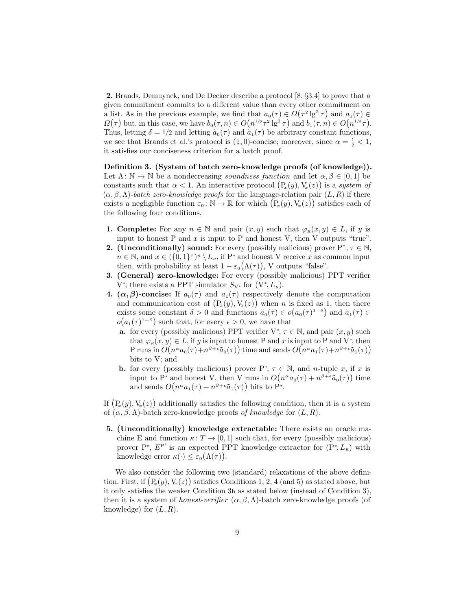2. Brands, Demuynck, and De Decker describe a protocol [\[8,](#page-14-7) §3.4] to prove that a given commitment commits to a different value than every other commitment on a list. As in the previous example, we find that  $a_0(\tau) \in \Omega(\tau^2 \lg^2 \tau)$  and  $a_1(\tau) \in$  $\Omega(\tau)$  but, in this case, we have  $b_0(\tau, n) \in O(n^{1/2}\tau^2 \lg^2 \tau)$  and  $b_1(\tau, n) \in O(n^{1/2}\tau)$ . Thus, letting  $\delta = 1/2$  and letting  $\tilde{a}_0(\tau)$  and  $\tilde{a}_1(\tau)$  be arbitrary constant functions, we see that Brands et al.'s protocol is  $(\frac{1}{2}, 0)$ -concise; moreover, since  $\alpha = \frac{1}{2} < 1$ , it satisfies our conciseness criterion for a batch proof.

<span id="page-8-0"></span>Definition 3. (System of batch zero-knowledge proofs (of knowledge)). Let  $\Lambda: \mathbb{N} \to \mathbb{N}$  be a nondecreasing *soundness function* and let  $\alpha, \beta \in [0,1]$  be constants such that  $\alpha < 1$ . An interactive protocol  $(P_x(y), V_x(z))$  is a system of  $(\alpha, \beta, \Lambda)$ -batch zero-knowledge proofs for the language-relation pair  $(L, R)$  if there exists a negligible function  $\varepsilon_0 : \mathbb{N} \to \mathbb{R}$  for which  $(P_x(y), V_x(z))$  satisfies each of the following four conditions.

- 1. Complete: For any  $n \in \mathbb{N}$  and pair  $(x, y)$  such that  $\varphi_R(x, y) \in L$ , if y is input to honest P and  $x$  is input to P and honest V, then V outputs "true".
- **2.** (Unconditionally) sound: For every (possibly malicious) prover  $P^*$ ,  $\tau \in \mathbb{N}$ ,  $n \in \mathbb{N}$ , and  $x \in (\{0,1\}^{\tau})^n \setminus L_{\kappa}$ , if P<sup>\*</sup> and honest V receive x as common input then, with probability at least  $1 - \varepsilon_0(\Lambda(\tau))$ , V outputs "false".
- 3. (General) zero-knowledge: For every (possibly malicious) PPT verifier V<sup>\*</sup>, there exists a PPT simulator  $S_{V^*}$  for  $(V^*, L_R)$ .
- **4.**  $(\alpha, \beta)$ -concise: If  $a_0(\tau)$  and  $a_1(\tau)$  respectively denote the computation and communication cost of  $(P_x(y), V_x(z))$  when n is fixed as 1, then there exists some constant  $\delta > 0$  and functions  $\tilde{a}_0(\tau) \in o(a_0(\tau)^{1-\delta})$  and  $\tilde{a}_1(\tau) \in$  $o(a_1(\tau)^{1-\delta})$  such that, for every  $\epsilon > 0$ , we have that
	- **a.** for every (possibly malicious) PPT verifier  $V^*, \tau \in \mathbb{N}$ , and pair  $(x, y)$  such that  $\varphi_R(x, y) \in L$ , if y is input to honest P and x is input to P and V<sup>\*</sup>, then P runs in  $O(n^{\alpha}a_0(\tau)+n^{\beta+\epsilon}\tilde{a}_0(\tau))$  time and sends  $O(n^{\alpha}a_1(\tau)+n^{\beta+\epsilon}\tilde{a}_1(\tau))$ bits to V; and
	- **b.** for every (possibly malicious) prover  $P^*$ ,  $\tau \in \mathbb{N}$ , and *n*-tuple x, if x is input to P<sup>\*</sup> and honest V, then V runs in  $O(n^{\alpha}a_0(\tau) + n^{\beta+\epsilon}\tilde{a}_0(\tau))$  time and sends  $O(n^{\alpha}a_1(\tau) + n^{\beta+\epsilon}\tilde{a}_1(\tau))$  bits to P<sup>\*</sup>.

If  $(P_x(y), V_x(z))$  additionally satisfies the following condition, then it is a system of  $(\alpha, \beta, \Lambda)$ -batch zero-knowledge proofs of knowledge for  $(L, R)$ .

5. (Unconditionally) knowledge extractable: There exists an oracle machine E and function  $\kappa: T \to [0, 1]$  such that, for every (possibly malicious) prover  $P^*$ ,  $E^{P^*}$  is an expected PPT knowledge extractor for  $(P^*, L_R)$  with knowledge error  $\kappa(\cdot) \leq \varepsilon_0(\Lambda(\tau)).$ 

We also consider the following two (standard) relaxations of the above definition. First, if  $(P_r(y), V_r(z))$  satisfies Conditions 1, 2, 4 (and 5) as stated above, but it only satisfies the weaker Condition 3b as stated below (instead of Condition 3), then it is a system of *honest-verifier*  $(\alpha, \beta, \Lambda)$ -batch zero-knowledge proofs (of knowledge) for  $(L, R)$ .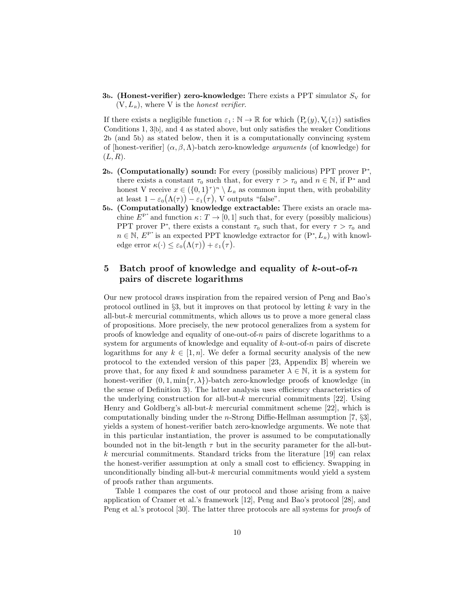**3b.** (Honest-verifier) zero-knowledge: There exists a PPT simulator  $S_V$  for  $(V, L_R)$ , where V is the *honest verifier*.

If there exists a negligible function  $\varepsilon_1 : \mathbb{N} \to \mathbb{R}$  for which  $(P_x(y), V_x(z))$  satisfies Conditions 1, 3[b], and 4 as stated above, but only satisfies the weaker Conditions 2b (and 5b) as stated below, then it is a computationally convincing system of [honest-verifier]  $(\alpha, \beta, \Lambda)$ -batch zero-knowledge *arguments* (of knowledge) for  $(L, R)$ .

- 2b. (Computationally) sound: For every (possibly malicious) PPT prover  $P^*$ , there exists a constant  $\tau_0$  such that, for every  $\tau > \tau_0$  and  $n \in \mathbb{N}$ , if P<sup>\*</sup> and honest V receive  $x \in (\{0,1\}^{\tau})^n \setminus L_{\kappa}$  as common input then, with probability at least  $1 - \varepsilon_0(\Lambda(\tau)) - \varepsilon_1(\tau)$ , V outputs "false".
- 5b. (Computationally) knowledge extractable: There exists an oracle machine  $E^{P^*}$  and function  $\kappa: T \to [0, 1]$  such that, for every (possibly malicious) PPT prover P<sup>\*</sup>, there exists a constant  $\tau_0$  such that, for every  $\tau > \tau_0$  and  $n \in \mathbb{N}, E^{P^*}$  is an expected PPT knowledge extractor for  $(P^*, L_R)$  with knowledge error  $\kappa(\cdot) \leq \varepsilon_0(\Lambda(\tau)) + \varepsilon_1(\tau)$ .

# <span id="page-9-0"></span>5 Batch proof of knowledge and equality of  $k$ -out-of-n pairs of discrete logarithms

Our new protocol draws inspiration from the repaired version of Peng and Bao's protocol outlined in  $\S$ [3,](#page-4-0) but it improves on that protocol by letting k vary in the all-but- $k$  mercurial commitments, which allows us to prove a more general class of propositions. More precisely, the new protocol generalizes from a system for proofs of knowledge and equality of one-out-of- $n$  pairs of discrete logarithms to a system for arguments of knowledge and equality of  $k$ -out-of-n pairs of discrete logarithms for any  $k \in [1, n]$ . We defer a formal security analysis of the new protocol to the extended version of this paper [\[23,](#page-15-6) Appendix B] wherein we prove that, for any fixed k and soundness parameter  $\lambda \in \mathbb{N}$ , it is a system for honest-verifier  $(0, 1, \min\{\tau, \lambda\})$ -batch zero-knowledge proofs of knowledge (in the sense of Definition [3\)](#page-8-0). The latter analysis uses efficiency characteristics of the underlying construction for all-but- $k$  mercurial commitments [\[22\]](#page-15-10). Using Henry and Goldberg's all-but-k mercurial commitment scheme  $[22]$ , which is computationally binding under the *n*-Strong Diffie-Hellman assumption  $[7, \S3]$  $[7, \S3]$ , yields a system of honest-verifier batch zero-knowledge arguments. We note that in this particular instantiation, the prover is assumed to be computationally bounded not in the bit-length  $\tau$  but in the security parameter for the all-but $k$  mercurial commitments. Standard tricks from the literature [\[19\]](#page-14-15) can relax the honest-verifier assumption at only a small cost to efficiency. Swapping in unconditionally binding all-but- $k$  mercurial commitments would yield a system of proofs rather than arguments.

Table [1](#page-10-0) compares the cost of our protocol and those arising from a naive application of Cramer et al.'s framework [\[12\]](#page-14-6), Peng and Bao's protocol [\[28\]](#page-15-8), and Peng et al.'s protocol [\[30\]](#page-15-7). The latter three protocols are all systems for proofs of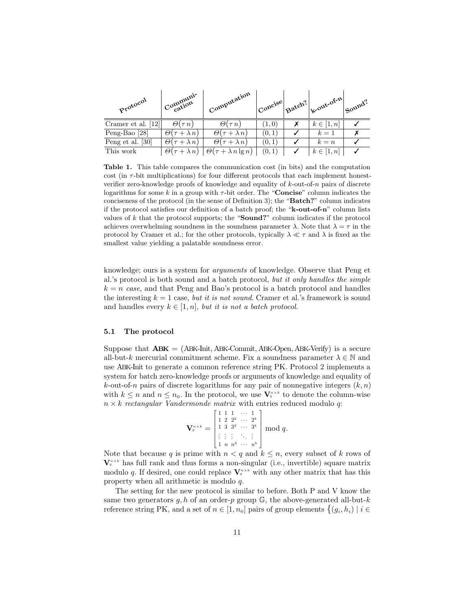| Protocol           | $\sqrt{C_{cation}}$        | Computation                      | $ C^{\text{one}}$ ise | $ B^{at}$ ch <sup>?</sup> | $\kappa$ -out-of- $n_1$ | Sound? |
|--------------------|----------------------------|----------------------------------|-----------------------|---------------------------|-------------------------|--------|
| Cramer et al. [12] | $\Theta(\tau n)$           | $\Theta(\tau n)$                 | (1,0)                 |                           | $k\in[1,n]$             |        |
| Peng-Bao [28]      | $\Theta(\tau + \lambda n)$ | $\Theta(\tau + \lambda n)$       | (0,1)                 |                           | $k=1$                   |        |
| Peng et al. [30]   | $\Theta(\tau + \lambda n)$ | $\Theta(\tau+\lambda n)$         | (0,1)                 |                           | $k = n$                 |        |
| This work          | $\Theta(\tau + \lambda n)$ | $\Theta(\tau + \lambda n \lg n)$ | (0, 1)                |                           | $k\in[1,n]$             |        |

<span id="page-10-0"></span>Table 1. This table compares the communication cost (in bits) and the computation cost (in  $\tau$ -bit multiplications) for four different protocols that each implement honestverifier zero-knowledge proofs of knowledge and equality of  $k$ -out-of-n pairs of discrete logarithms for some k in a group with  $\tau$ -bit order. The "**Concise**" column indicates the conciseness of the protocol (in the sense of Definition [3\)](#page-8-0); the "Batch?" column indicates if the protocol satisfies our definition of a batch proof; the "k-out-of-n" column lists values of k that the protocol supports; the "Sound?" column indicates if the protocol achieves overwhelming soundness in the soundness parameter  $\lambda$ . Note that  $\lambda = \tau$  in the protocol by Cramer et al.; for the other protocols, typically  $\lambda \ll \tau$  and  $\lambda$  is fixed as the smallest value yielding a palatable soundness error.

knowledge; ours is a system for arguments of knowledge. Observe that Peng et al.'s protocol is both sound and a batch protocol, but it only handles the simple  $k = n$  case, and that Peng and Bao's protocol is a batch protocol and handles the interesting  $k = 1$  case, but it is not sound. Cramer et al.'s framework is sound and handles every  $k \in [1, n]$ , but it is not a batch protocol.

#### 5.1 The protocol

Suppose that  $ABK = (ABK\text{-Init}, ABK\text{-Commit}, ABK\text{-Open}, ABK\text{-Verify})$  is a secure all-but-k mercurial commitment scheme. Fix a soundness parameter  $\lambda \in \mathbb{N}$  and use ABK-Init to generate a common reference string PK. Protocol [2](#page-11-0) implements a system for batch zero-knowledge proofs or arguments of knowledge and equality of k-out-of-n pairs of discrete logarithms for any pair of nonnegative integers  $(k, n)$ with  $k \leq n$  and  $n \leq n_0$ . In the protocol, we use  $\mathbf{V}_i^{n \times k}$  to denote the column-wise  $n \times k$  rectangular Vandermonde matrix with entries reduced modulo q:

$$
\mathbf{V}_q^{n \times k} = \begin{bmatrix} 1 & 1 & 1 & \cdots & 1 \\ 1 & 2 & 2^2 & \cdots & 2^k \\ 1 & 3 & 3^2 & \cdots & 3^k \\ \vdots & \vdots & \vdots & \ddots & \vdots \\ 1 & n & n^2 & \cdots & n^k \end{bmatrix} \mod q.
$$

Note that because q is prime with  $n < q$  and  $k \leq n$ , every subset of k rows of  $V_{\tau}^{N^{\kappa}}$  has full rank and thus forms a non-singular (i.e., invertible) square matrix modulo q. If desired, one could replace  $\mathbf{V}_q^{n \times k}$  with any other matrix that has this property when all arithmetic is modulo q.

The setting for the new protocol is similar to before. Both P and V know the same two generators  $g, h$  of an order-p group  $\mathbb{G}$ , the above-generated all-but-k reference string PK, and a set of  $n \in [1, n_0]$  pairs of group elements  $\{(g_i, h_i) \mid i \in$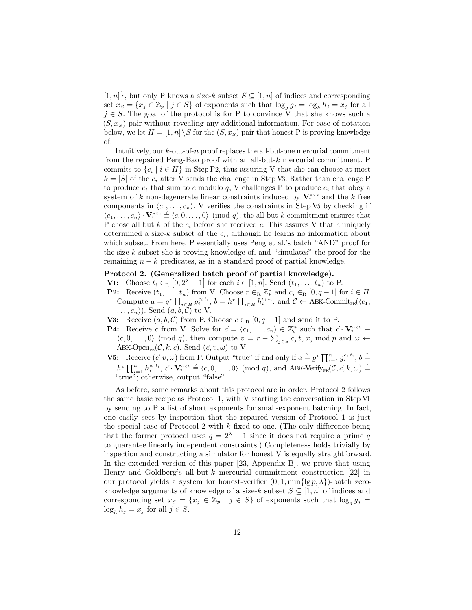$[1, n]$ , but only P knows a size-k subset  $S \subseteq [1, n]$  of indices and corresponding set  $x_s = \{x_j \in \mathbb{Z}_p \mid j \in S\}$  of exponents such that  $\log_g g_j = \log_h h_j = x_j$  for all  $j \in S$ . The goal of the protocol is for P to convince V that she knows such a  $(S, x<sub>S</sub>)$  pair without revealing any additional information. For ease of notation below, we let  $H = [1, n] \setminus S$  for the  $(S, x_S)$  pair that honest P is proving knowledge of.

Intuitively, our k-out-of-n proof replaces the all-but-one mercurial commitment from the repaired Peng-Bao proof with an all-but-k mercurial commitment. P commits to  $\{c_i \mid i \in H\}$  in Step P2, thus assuring V that she can choose at most  $k = |S|$  of the  $c_i$  after V sends the challenge in Step V3. Rather than challenge P to produce  $c_i$  that sum to c modulo q, V challenges P to produce  $c_i$  that obey a system of k non-degenerate linear constraints induced by  $\mathbf{V}_i^{n \times k}$  and the k free components in  $\langle c_1, \ldots, c_n \rangle$ . V verifies the constraints in Step V5 by checking if  $\langle c_1,\ldots,c_n\rangle\cdot\mathbf{V}^{n\times k}_{q} \stackrel{?}{=} \langle c,0,\ldots,0\rangle \pmod{q}$ ; the all-but-k commitment ensures that P chose all but  $k$  of the  $c_i$  before she received c. This assures V that c uniquely determined a size-k subset of the  $c_i$ , although he learns no information about which subset. From here, P essentially uses Peng et al.'s batch "AND" proof for the size- $k$  subset she is proving knowledge of, and "simulates" the proof for the remaining  $n - k$  predicates, as in a standard proof of partial knowledge.

#### <span id="page-11-0"></span>Protocol 2. (Generalized batch proof of partial knowledge).

- **V1:** Choose  $t_i \in_R [0, 2^{\lambda} 1]$  for each  $i \in [1, n]$ . Send  $(t_1, \ldots, t_n)$  to P.
- **P2:** Receive  $(t_1, \ldots, t_n)$  from V. Choose  $r \in_R \mathbb{Z}_p^*$  and  $c_i \in_R [0, q-1]$  for  $i \in H$ . Compute  $a = g^r \prod_{i \in H} g_i^{c_i t_i}$ ,  $b = h^r \prod_{i \in H} h_i^{c_i t_i}$ , and  $C \leftarrow$  ABK-Commit<sub>PK</sub>( $\langle c_1,$  $\ldots, c_n$ ). Send  $(a, b, C)$  to V.
- **V3:** Receive  $(a, b, C)$  from P. Choose  $c \in_R [0, q-1]$  and send it to P.
- **P4:** Receive c from V. Solve for  $\vec{c} = \langle c_1, \ldots, c_n \rangle \in \mathbb{Z}_q^n$  such that  $\vec{c} \cdot \mathbf{V}_q^{n \times k} \equiv$  $\langle c, 0, \ldots, 0 \rangle \pmod{q}$ , then compute  $v = r - \sum_{j \in S} c_j t_j x_j \bmod{p}$  and  $\omega \leftarrow$ ABK-Open<sub>PK</sub> $(\mathcal{C}, k, \vec{c})$ . Send  $(\vec{c}, v, \omega)$  to V.
- **V5:** Receive  $(\vec{c}, v, \omega)$  from P. Output "true" if and only if  $a = g^v \prod_{i=1}^n g_i^{c_i t_i}$ ,  $b =$  $h^v \prod_{i=1}^n h_i^{c_i t_i}, \ \vec{c} \cdot \mathbf{V}^{n \times k}_q \stackrel{?}{=} \langle c, 0, \ldots, 0 \rangle \pmod{q}, \text{ and } \text{ABK-Verify}_{\text{PK}}(\mathcal{C}, \vec{c}, k, \omega) \stackrel{?}{=}$ "true"; otherwise, output "false".

As before, some remarks about this protocol are in order. Protocol [2](#page-11-0) follows the same basic recipe as Protocol [1,](#page-2-1) with V starting the conversation in Step V1 by sending to P a list of short exponents for small-exponent batching. In fact, one easily sees by inspection that the repaired version of Protocol [1](#page-2-1) is just the special case of Protocol [2](#page-11-0) with  $k$  fixed to one. (The only difference being that the former protocol uses  $q = 2<sup>\lambda</sup> - 1$  since it does not require a prime q to guarantee linearly independent constraints.) Completeness holds trivially by inspection and constructing a simulator for honest V is equally straightforward. In the extended version of this paper [\[23,](#page-15-6) Appendix B], we prove that using Henry and Goldberg's all-but- $k$  mercurial commitment construction [\[22\]](#page-15-10) in our protocol yields a system for honest-verifier  $(0, 1, \min\{\lg p, \lambda\})$ -batch zeroknowledge arguments of knowledge of a size-k subset  $S \subseteq [1, n]$  of indices and corresponding set  $x_s = \{x_j \in \mathbb{Z}_p \mid j \in S\}$  of exponents such that  $\log_g g_j =$  $\log_h h_i = x_i$  for all  $j \in S$ .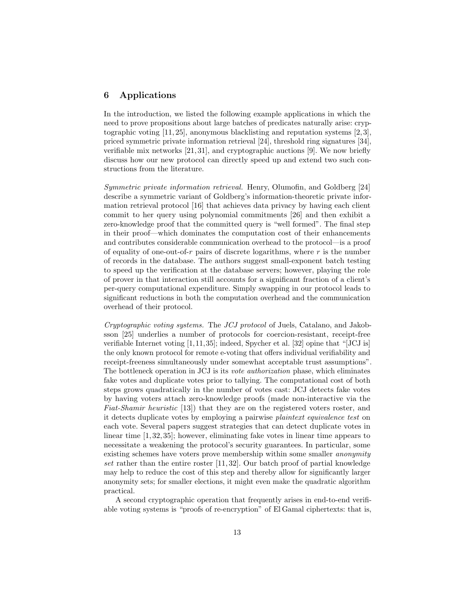### <span id="page-12-0"></span>6 Applications

In the introduction, we listed the following example applications in which the need to prove propositions about large batches of predicates naturally arise: cryptographic voting  $[11, 25]$  $[11, 25]$  $[11, 25]$ , anonymous blacklisting and reputation systems  $[2, 3]$  $[2, 3]$  $[2, 3]$ , priced symmetric private information retrieval [\[24\]](#page-15-2), threshold ring signatures [\[34\]](#page-15-3), verifiable mix networks [\[21,](#page-15-4) [31\]](#page-15-5), and cryptographic auctions [\[9\]](#page-14-3). We now briefly discuss how our new protocol can directly speed up and extend two such constructions from the literature.

Symmetric private information retrieval. Henry, Olumofin, and Goldberg [\[24\]](#page-15-2) describe a symmetric variant of Goldberg's information-theoretic private information retrieval protocol [\[16\]](#page-14-16) that achieves data privacy by having each client commit to her query using polynomial commitments [\[26\]](#page-15-12) and then exhibit a zero-knowledge proof that the committed query is "well formed". The final step in their proof—which dominates the computation cost of their enhancements and contributes considerable communication overhead to the protocol—is a proof of equality of one-out-of-r pairs of discrete logarithms, where r is the number of records in the database. The authors suggest small-exponent batch testing to speed up the verification at the database servers; however, playing the role of prover in that interaction still accounts for a significant fraction of a client's per-query computational expenditure. Simply swapping in our protocol leads to significant reductions in both the computation overhead and the communication overhead of their protocol.

Cryptographic voting systems. The JCJ protocol of Juels, Catalano, and Jakobsson [\[25\]](#page-15-0) underlies a number of protocols for coercion-resistant, receipt-free verifiable Internet voting [\[1,](#page-13-2)[11,](#page-14-1)[35\]](#page-15-13); indeed, Spycher et al. [\[32\]](#page-15-14) opine that "[JCJ is] the only known protocol for remote e-voting that offers individual verifiability and receipt-freeness simultaneously under somewhat acceptable trust assumptions". The bottleneck operation in JCJ is its vote authorization phase, which eliminates fake votes and duplicate votes prior to tallying. The computational cost of both steps grows quadratically in the number of votes cast: JCJ detects fake votes by having voters attach zero-knowledge proofs (made non-interactive via the Fiat-Shamir heuristic [\[13\]](#page-14-17)) that they are on the registered voters roster, and it detects duplicate votes by employing a pairwise plaintext equivalence test on each vote. Several papers suggest strategies that can detect duplicate votes in linear time [\[1,](#page-13-2) [32,](#page-15-14) [35\]](#page-15-13); however, eliminating fake votes in linear time appears to necessitate a weakening the protocol's security guarantees. In particular, some existing schemes have voters prove membership within some smaller *anonymity* set rather than the entire roster [\[11,](#page-14-1) [32\]](#page-15-14). Our batch proof of partial knowledge may help to reduce the cost of this step and thereby allow for significantly larger anonymity sets; for smaller elections, it might even make the quadratic algorithm practical.

A second cryptographic operation that frequently arises in end-to-end verifiable voting systems is "proofs of re-encryption" of El Gamal ciphertexts: that is,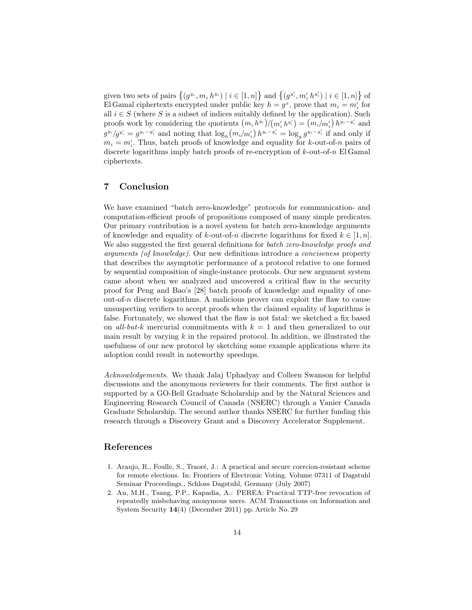given two sets of pairs  $\{(g^{y_i}, m_i h^{y_i}) \mid i \in [1, n]\}$  and  $\{(g^{y'_i}, m'_i h^{y'_i}) \mid i \in [1, n]\}$  of El Gamal ciphertexts encrypted under public key  $h = g^x$ , prove that  $m_i = m'_i$  for all  $i \in S$  (where S is a subset of indices suitably defined by the application). Such proofs work by considering the quotients  $(m_i h^{y_i})/(m_i' h^{y_i'}) = (m_i/m_i') h^{y_i - y_i'}$  and  $g^{y_i}/g^{y_i'} = g^{y_i-y_i'}$  and noting that  $\log_h(m_i/m_i')h^{y_i-y_i'} = \log_g g^{y_i-y_i'}$  if and only if  $m_i = m'_i$ . Thus, batch proofs of knowledge and equality for k-out-of-n pairs of discrete logarithms imply batch proofs of re-encryption of  $k$ -out-of-n El Gamal ciphertexts.

# <span id="page-13-1"></span>7 Conclusion

We have examined "batch zero-knowledge" protocols for communication- and computation-efficient proofs of propositions composed of many simple predicates. Our primary contribution is a novel system for batch zero-knowledge arguments of knowledge and equality of k-out-of-n discrete logarithms for fixed  $k \in [1, n]$ . We also suggested the first general definitions for *batch zero-knowledge proofs and* arguments (of knowledge). Our new definitions introduce a conciseness property that describes the asymptotic performance of a protocol relative to one formed by sequential composition of single-instance protocols. Our new argument system came about when we analyzed and uncovered a critical flaw in the security proof for Peng and Bao's [\[28\]](#page-15-8) batch proofs of knowledge and equality of oneout-of-n discrete logarithms. A malicious prover can exploit the flaw to cause unsuspecting verifiers to accept proofs when the claimed equality of logarithms is false. Fortunately, we showed that the flaw is not fatal: we sketched a fix based on all-but-k mercurial commitments with  $k = 1$  and then generalized to our main result by varying  $k$  in the repaired protocol. In addition, we illustrated the usefulness of our new protocol by sketching some example applications where its adoption could result in noteworthy speedups.

Acknowledgements. We thank Jalaj Uphadyay and Colleen Swanson for helpful discussions and the anonymous reviewers for their comments. The first author is supported by a GO-Bell Graduate Scholarship and by the Natural Sciences and Engineering Research Council of Canada (NSERC) through a Vanier Canada Graduate Scholarship. The second author thanks NSERC for further funding this research through a Discovery Grant and a Discovery Accelerator Supplement.

# References

- <span id="page-13-2"></span>1. Araujo, R., Foulle, S., Traoré, J.: A practical and secure coercion-resistant scheme for remote elections. In: Frontiers of Electronic Voting. Volume 07311 of Dagstuhl Seminar Proceedings., Schloss Dagstuhl, Germany (July 2007)
- <span id="page-13-0"></span>2. Au, M.H., Tsang, P.P., Kapadia, A.: PEREA: Practical TTP-free revocation of repeatedly misbehaving anonymous users. ACM Transactions on Information and System Security 14(4) (December 2011) pp. Article No. 29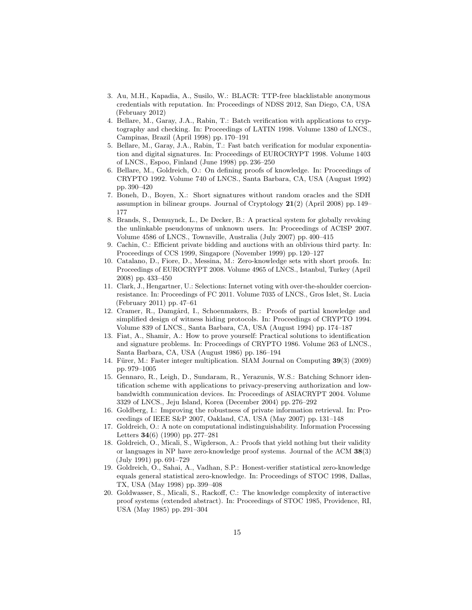- <span id="page-14-2"></span>3. Au, M.H., Kapadia, A., Susilo, W.: BLACR: TTP-free blacklistable anonymous credentials with reputation. In: Proceedings of NDSS 2012, San Diego, CA, USA (February 2012)
- <span id="page-14-4"></span>4. Bellare, M., Garay, J.A., Rabin, T.: Batch verification with applications to cryptography and checking. In: Proceedings of LATIN 1998. Volume 1380 of LNCS., Campinas, Brazil (April 1998) pp. 170–191
- <span id="page-14-5"></span>5. Bellare, M., Garay, J.A., Rabin, T.: Fast batch verification for modular exponentiation and digital signatures. In: Proceedings of EUROCRYPT 1998. Volume 1403 of LNCS., Espoo, Finland (June 1998) pp. 236–250
- <span id="page-14-11"></span>6. Bellare, M., Goldreich, O.: On defining proofs of knowledge. In: Proceedings of CRYPTO 1992. Volume 740 of LNCS., Santa Barbara, CA, USA (August 1992) pp. 390–420
- <span id="page-14-14"></span>7. Boneh, D., Boyen, X.: Short signatures without random oracles and the SDH assumption in bilinear groups. Journal of Cryptology 21(2) (April 2008) pp. 149– 177
- <span id="page-14-7"></span>8. Brands, S., Demuynck, L., De Decker, B.: A practical system for globally revoking the unlinkable pseudonyms of unknown users. In: Proceedings of ACISP 2007. Volume 4586 of LNCS., Townsville, Australia (July 2007) pp. 400–415
- <span id="page-14-3"></span>9. Cachin, C.: Efficient private bidding and auctions with an oblivious third party. In: Proceedings of CCS 1999, Singapore (November 1999) pp. 120–127
- <span id="page-14-9"></span>10. Catalano, D., Fiore, D., Messina, M.: Zero-knowledge sets with short proofs. In: Proceedings of EUROCRYPT 2008. Volume 4965 of LNCS., Istanbul, Turkey (April 2008) pp. 433–450
- <span id="page-14-1"></span>11. Clark, J., Hengartner, U.: Selections: Internet voting with over-the-shoulder coercionresistance. In: Proceedings of FC 2011. Volume 7035 of LNCS., Gros Islet, St. Lucia (February 2011) pp. 47–61
- <span id="page-14-6"></span>12. Cramer, R., Damgård, I., Schoenmakers, B.: Proofs of partial knowledge and simplified design of witness hiding protocols. In: Proceedings of CRYPTO 1994. Volume 839 of LNCS., Santa Barbara, CA, USA (August 1994) pp. 174–187
- <span id="page-14-17"></span>13. Fiat, A., Shamir, A.: How to prove yourself: Practical solutions to identification and signature problems. In: Proceedings of CRYPTO 1986. Volume 263 of LNCS., Santa Barbara, CA, USA (August 1986) pp. 186–194
- <span id="page-14-13"></span>14. Fürer, M.: Faster integer multiplication. SIAM Journal on Computing 39(3) (2009) pp. 979–1005
- <span id="page-14-8"></span>15. Gennaro, R., Leigh, D., Sundaram, R., Yerazunis, W.S.: Batching Schnorr identification scheme with applications to privacy-preserving authorization and lowbandwidth communication devices. In: Proceedings of ASIACRYPT 2004. Volume 3329 of LNCS., Jeju Island, Korea (December 2004) pp. 276–292
- <span id="page-14-16"></span>16. Goldberg, I.: Improving the robustness of private information retrieval. In: Proceedings of IEEE S&P 2007, Oakland, CA, USA (May 2007) pp. 131–148
- <span id="page-14-12"></span>17. Goldreich, O.: A note on computational indistinguishability. Information Processing Letters 34(6) (1990) pp. 277–281
- <span id="page-14-10"></span>18. Goldreich, O., Micali, S., Wigderson, A.: Proofs that yield nothing but their validity or languages in NP have zero-knowledge proof systems. Journal of the ACM 38(3) (July 1991) pp. 691–729
- <span id="page-14-15"></span>19. Goldreich, O., Sahai, A., Vadhan, S.P.: Honest-verifier statistical zero-knowledge equals general statistical zero-knowledge. In: Proceedings of STOC 1998, Dallas, TX, USA (May 1998) pp. 399–408
- <span id="page-14-0"></span>20. Goldwasser, S., Micali, S., Rackoff, C.: The knowledge complexity of interactive proof systems (extended abstract). In: Proceedings of STOC 1985, Providence, RI, USA (May 1985) pp. 291–304